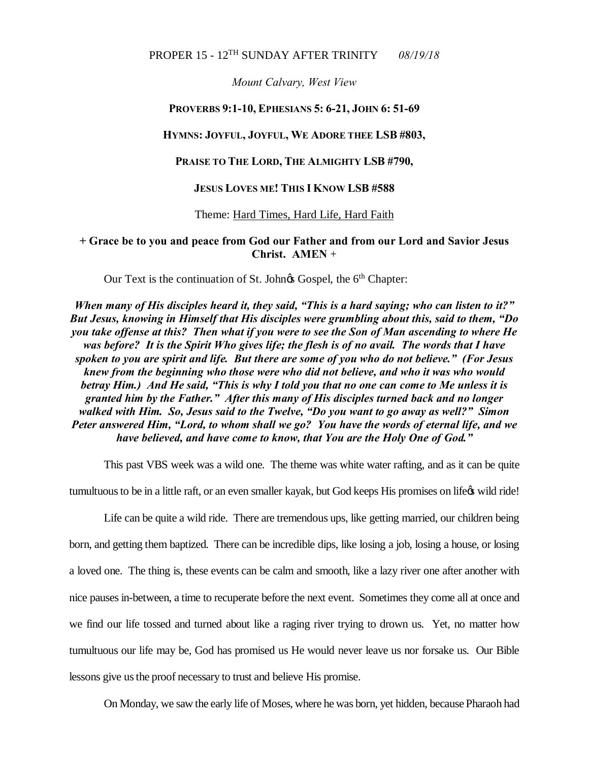# PROPER 15 - 12TH SUNDAY AFTER TRINITY *08/19/18*

*Mount Calvary, West View*

### **PROVERBS 9:1-10, EPHESIANS 5: 6-21, JOHN 6: 51-69**

#### **HYMNS: JOYFUL, JOYFUL, WE ADORE THEE LSB #803,**

#### **PRAISE TO THE LORD, THE ALMIGHTY LSB #790,**

### **JESUS LOVES ME! THIS I KNOW LSB #588**

#### Theme: Hard Times, Hard Life, Hard Faith

## **+ Grace be to you and peace from God our Father and from our Lord and Savior Jesus Christ. AMEN** +

Our Text is the continuation of St. John& Gospel, the 6<sup>th</sup> Chapter:

*When many of His disciples heard it, they said, "This is a hard saying; who can listen to it?" But Jesus, knowing in Himself that His disciples were grumbling about this, said to them, "Do you take offense at this? Then what if you were to see the Son of Man ascending to where He was before? It is the Spirit Who gives life; the flesh is of no avail. The words that I have spoken to you are spirit and life. But there are some of you who do not believe." (For Jesus knew from the beginning who those were who did not believe, and who it was who would betray Him.) And He said, "This is why I told you that no one can come to Me unless it is granted him by the Father." After this many of His disciples turned back and no longer walked with Him. So, Jesus said to the Twelve, "Do you want to go away as well?" Simon Peter answered Him, "Lord, to whom shall we go? You have the words of eternal life, and we have believed, and have come to know, that You are the Holy One of God."*

This past VBS week was a wild one. The theme was white water rafting, and as it can be quite

tumultuous to be in a little raft, or an even smaller kayak, but God keeps His promises on life  $\alpha$  wild ride!

Life can be quite a wild ride. There are tremendous ups, like getting married, our children being born, and getting them baptized. There can be incredible dips, like losing a job, losing a house, or losing a loved one. The thing is, these events can be calm and smooth, like a lazy river one after another with nice pauses in-between, a time to recuperate before the next event. Sometimes they come all at once and we find our life tossed and turned about like a raging river trying to drown us. Yet, no matter how tumultuous our life may be, God has promised us He would never leave us nor forsake us. Our Bible lessons give us the proof necessary to trust and believe His promise.

On Monday, we saw the early life of Moses, where he was born, yet hidden, because Pharaoh had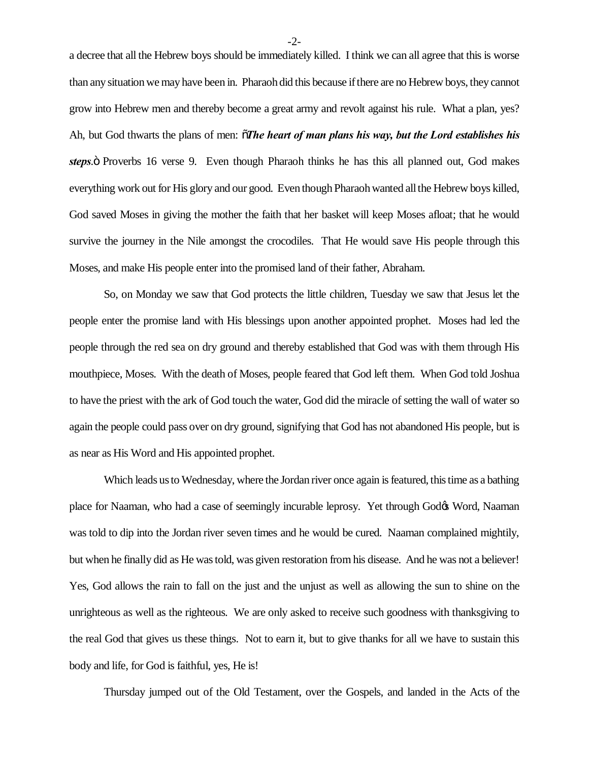a decree that all the Hebrew boys should be immediately killed. I think we can all agree that this is worse than any situation we may have been in. Pharaohdid this because if there are no Hebrew boys, they cannot grow into Hebrew men and thereby become a great army and revolt against his rule. What a plan, yes? Ah, but God thwarts the plans of men: "*The heart of man plans his way, but the Lord establishes his steps*. $\ddot{o}$  Proverbs 16 verse 9. Even though Pharaoh thinks he has this all planned out, God makes everything work out for His glory and our good. Even though Pharaoh wanted all the Hebrew boys killed, God saved Moses in giving the mother the faith that her basket will keep Moses afloat; that he would survive the journey in the Nile amongst the crocodiles. That He would save His people through this Moses, and make His people enter into the promised land of their father, Abraham.

So, on Monday we saw that God protects the little children, Tuesday we saw that Jesus let the people enter the promise land with His blessings upon another appointed prophet. Moses had led the people through the red sea on dry ground and thereby established that God was with them through His mouthpiece, Moses. With the death of Moses, people feared that God left them. When God told Joshua to have the priest with the ark of God touch the water, God did the miracle of setting the wall of water so again the people could pass over on dry ground, signifying that God has not abandoned His people, but is as near as His Word and His appointed prophet.

Which leads us to Wednesday, where the Jordan river once again is featured, this time as a bathing place for Naaman, who had a case of seemingly incurable leprosy. Yet through God $\alpha$  Word, Naaman was told to dip into the Jordan river seven times and he would be cured. Naaman complained mightily, but when he finally did as He was told, was given restoration from his disease. And he was not a believer! Yes, God allows the rain to fall on the just and the unjust as well as allowing the sun to shine on the unrighteous as well as the righteous. We are only asked to receive such goodness with thanksgiving to the real God that gives us these things. Not to earn it, but to give thanks for all we have to sustain this body and life, for God is faithful, yes, He is!

Thursday jumped out of the Old Testament, over the Gospels, and landed in the Acts of the

-2-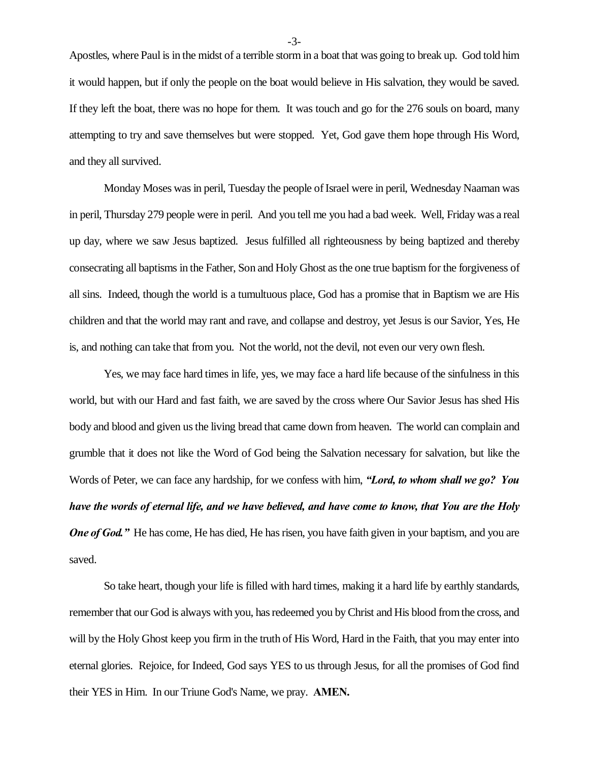Apostles, where Paul is in the midst of a terrible storm in a boat that was going to break up. God told him it would happen, but if only the people on the boat would believe in His salvation, they would be saved. If they left the boat, there was no hope for them. It was touch and go for the 276 souls on board, many attempting to try and save themselves but were stopped. Yet, God gave them hope through His Word, and they all survived.

Monday Moses was in peril, Tuesday the people of Israel were in peril, Wednesday Naaman was in peril, Thursday 279 people were in peril. And you tell me you had a bad week. Well, Friday was a real up day, where we saw Jesus baptized. Jesus fulfilled all righteousness by being baptized and thereby consecrating all baptisms in the Father, Son and Holy Ghost as the one true baptism for the forgiveness of all sins. Indeed, though the world is a tumultuous place, God has a promise that in Baptism we are His children and that the world may rant and rave, and collapse and destroy, yet Jesus is our Savior, Yes, He is, and nothing can take that from you. Not the world, not the devil, not even our very own flesh.

Yes, we may face hard times in life, yes, we may face a hard life because of the sinfulness in this world, but with our Hard and fast faith, we are saved by the cross where Our Savior Jesus has shed His body and blood and given us the living bread that came down from heaven. The world can complain and grumble that it does not like the Word of God being the Salvation necessary for salvation, but like the Words of Peter, we can face any hardship, for we confess with him, *"Lord, to whom shall we go? You have the words of eternal life, and we have believed, and have come to know, that You are the Holy One of God.* "He has come, He has died, He has risen, you have faith given in your baptism, and you are saved.

So take heart, though your life is filled with hard times, making it a hard life by earthly standards, remember that our God is always with you, has redeemed you by Christ and His blood from the cross, and will by the Holy Ghost keep you firm in the truth of His Word, Hard in the Faith, that you may enter into eternal glories. Rejoice, for Indeed, God says YES to us through Jesus, for all the promises of God find their YES in Him. In our Triune God's Name, we pray. **AMEN.**

-3-